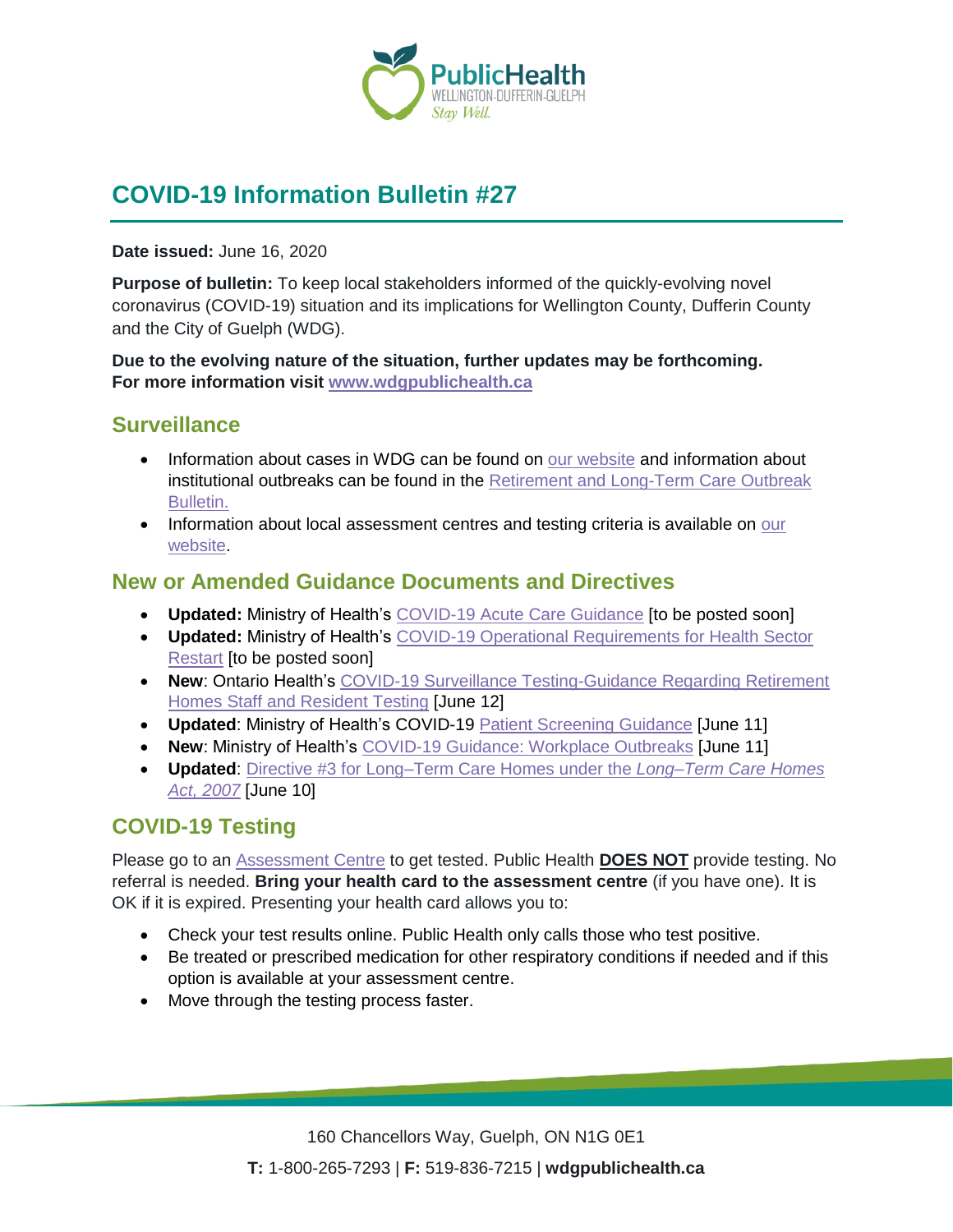

# **COVID-19 Information Bulletin #27**

**Date issued:** June 16, 2020

**Purpose of bulletin:** To keep local stakeholders informed of the quickly-evolving novel coronavirus (COVID-19) situation and its implications for Wellington County, Dufferin County and the City of Guelph (WDG).

**Due to the evolving nature of the situation, further updates may be forthcoming. For more information visit [www.wdgpublichealth.ca](http://www.wdgpublichealth.ca/)**

#### **Surveillance**

- Information about cases in WDG can be found on [our website](https://wdgpublichealth.ca/your-health/covid-19-information-public/status-cases-wdg) and information about institutional outbreaks can be found in the [Retirement and Long-Term Care Outbreak](https://wdgpublichealth.ca/node/1542)  [Bulletin.](https://wdgpublichealth.ca/node/1542)
- Information about local assessment centres and testing criteria is available on our [website.](https://www.wdgpublichealth.ca/your-health/covid-19-information-public/assessment-centres-wdg)

### **New or Amended Guidance Documents and Directives**

- **Updated:** Ministry of Health's [COVID-19 Acute Care Guidance](http://www.health.gov.on.ca/en/pro/programs/publichealth/coronavirus/2019_guidance.aspx) [to be posted soon]
- **Updated:** Ministry of Health's [COVID-19 Operational Requirements for Health Sector](http://www.health.gov.on.ca/en/pro/programs/publichealth/coronavirus/2019_guidance.aspx)  [Restart](http://www.health.gov.on.ca/en/pro/programs/publichealth/coronavirus/2019_guidance.aspx) [to be posted soon]
- **New**: Ontario Health's [COVID-19 Surveillance Testing-Guidance Regarding Retirement](http://www.health.gov.on.ca/en/pro/programs/publichealth/coronavirus/docs/2019_guidance_surveillance_testing.pdf)  [Homes Staff and Resident Testing](http://www.health.gov.on.ca/en/pro/programs/publichealth/coronavirus/docs/2019_guidance_surveillance_testing.pdf) [June 12]
- **Updated**: Ministry of Health's COVID-19 [Patient Screening Guidance](http://www.health.gov.on.ca/en/pro/programs/publichealth/coronavirus/docs/2019_patient_screening_guidance.pdf) [June 11]
- **New**: Ministry of Health's [COVID-19 Guidance: Workplace Outbreaks](http://www.health.gov.on.ca/en/pro/programs/publichealth/coronavirus/docs/2019_workplace_outbreak_guidance.pdf) [June 11]
- **Updated**: [Directive #3 for Long–Term Care Homes under the](http://www.health.gov.on.ca/en/pro/programs/publichealth/coronavirus/docs/directives/LTCH_HPPA.pdf) *Long–Term Care Homes [Act, 2007](http://www.health.gov.on.ca/en/pro/programs/publichealth/coronavirus/docs/directives/LTCH_HPPA.pdf)* [June 10]

## **COVID-19 Testing**

Please go to an [Assessment Centre](https://wdgpublichealth.ca/your-health/covid-19-information-public/assessment-centres-wdg) to get tested. Public Health **DOES NOT** provide testing. No referral is needed. **Bring your health card to the assessment centre** (if you have one). It is OK if it is expired. Presenting your health card allows you to:

- Check your test results online. Public Health only calls those who test positive.
- Be treated or prescribed medication for other respiratory conditions if needed and if this option is available at your assessment centre.
- Move through the testing process faster.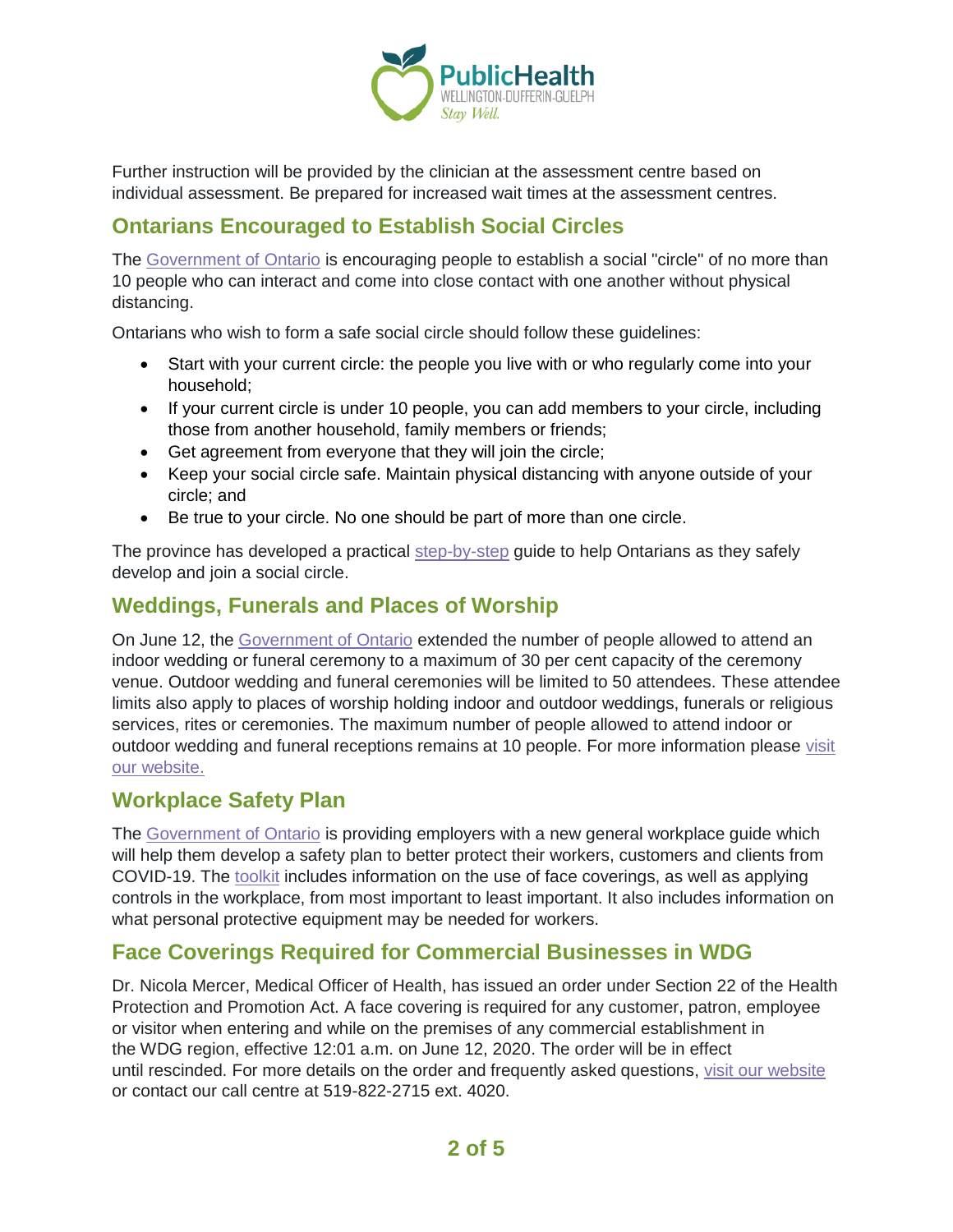

Further instruction will be provided by the clinician at the assessment centre based on individual assessment. Be prepared for increased wait times at the assessment centres.

## **Ontarians Encouraged to Establish Social Circles**

The [Government of Ontario](https://news.ontario.ca/opo/en/2020/06/ontarians-encouraged-to-establish-social-circles.html) is encouraging people to establish a social "circle" of no more than 10 people who can interact and come into close contact with one another without physical distancing.

Ontarians who wish to form a safe social circle should follow these guidelines:

- Start with your current circle: the people you live with or who regularly come into your household;
- If your current circle is under 10 people, you can add members to your circle, including those from another household, family members or friends;
- Get agreement from everyone that they will join the circle;
- Keep your social circle safe. Maintain physical distancing with anyone outside of your circle; and
- Be true to your circle. No one should be part of more than one circle.

The province has developed a practical [step-by-step](https://ontario.ca/page/create-social-circle-during-covid-19) guide to help Ontarians as they safely develop and join a social circle.

## **Weddings, Funerals and Places of Worship**

On June 12, the [Government of Ontario](https://news.ontario.ca/mohltc/en/2020/06/ontario-eases-restrictions-on-wedding-and-funeral-ceremonies.html) extended the number of people allowed to attend an indoor wedding or funeral ceremony to a maximum of 30 per cent capacity of the ceremony venue. Outdoor wedding and funeral ceremonies will be limited to 50 attendees. These attendee limits also apply to places of worship holding indoor and outdoor weddings, funerals or religious services, rites or ceremonies. The maximum number of people allowed to attend indoor or outdoor wedding and funeral receptions remains at 10 people. For more information please [visit](https://www.wdgpublichealth.ca/your-health/covid-19-information-public/closures-events-and-gatherings)  [our website.](https://www.wdgpublichealth.ca/your-health/covid-19-information-public/closures-events-and-gatherings)

#### **Workplace Safety Plan**

The [Government of Ontario](https://news.ontario.ca/opo/en/2020/06/ontario-releases-guide-on-how-to-develop-a-workplace-safety-plan.html) is providing employers with a new general workplace guide which will help them develop a safety plan to better protect their workers, customers and clients from COVID-19. The [toolkit](https://www.ontario.ca/page/develop-your-covid-19-workplace-safety-plan?_ga=2.26811578.645483659.1592232836-1123331746.1579028832) includes information on the use of face coverings, as well as applying controls in the workplace, from most important to least important. It also includes information on what personal protective equipment may be needed for workers.

### **Face Coverings Required for Commercial Businesses in WDG**

Dr. Nicola Mercer, Medical Officer of Health, has issued an order under Section 22 of the Health Protection and Promotion Act. A face covering is required for any customer, patron, employee or visitor when entering and while on the premises of any commercial establishment in the WDG region, effective 12:01 a.m. on June 12, 2020. The order will be in effect until rescinded. For more details on the order and frequently asked questions, [visit our website](https://www.wdgpublichealth.ca/your-health/covid-19-information-public/face-coverings-class-order-and-faqs) or contact our call centre at 519-822-2715 ext. 4020.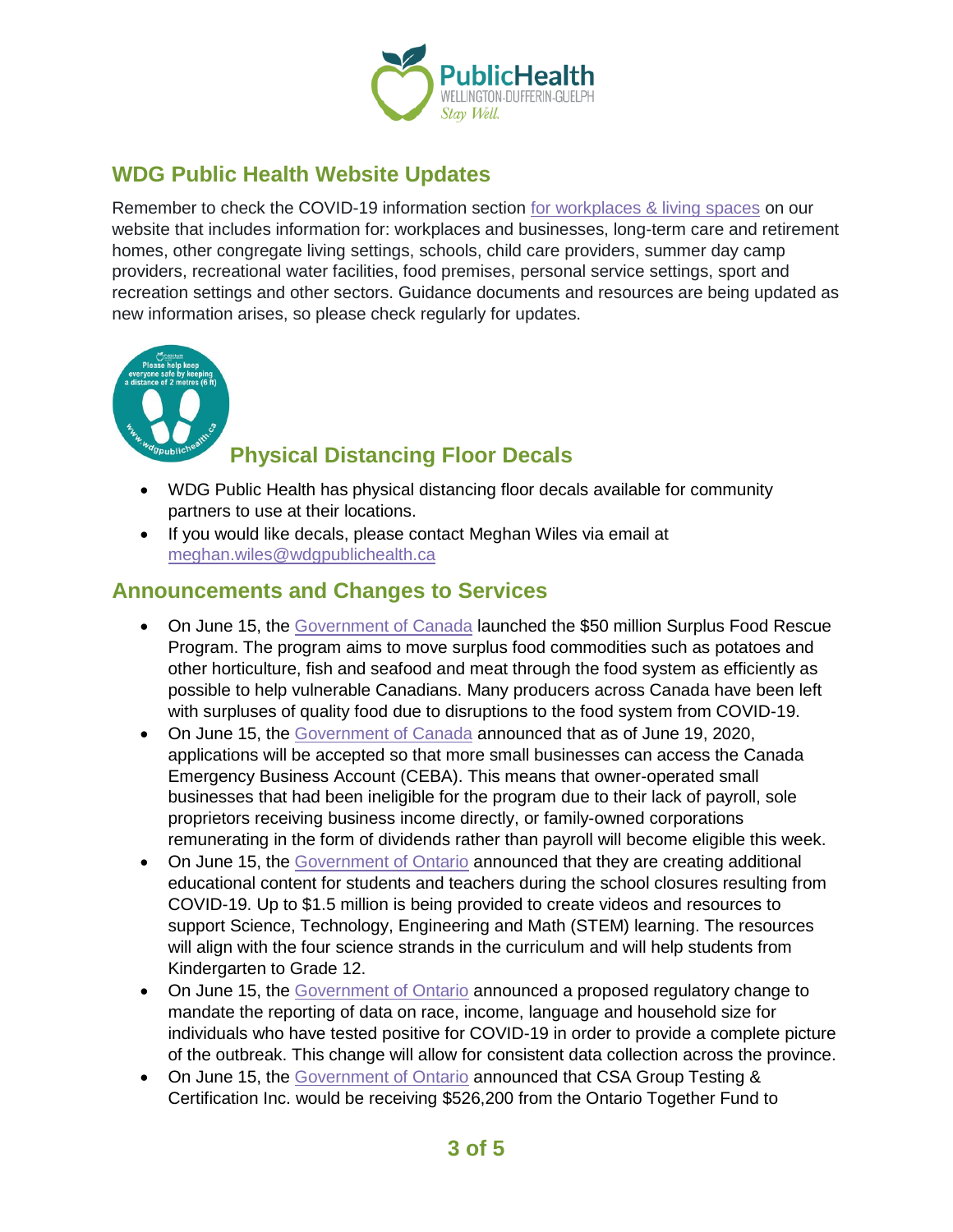

## **WDG Public Health Website Updates**

Remember to check the COVID-19 information section [for workplaces & living spaces](https://www.wdgpublichealth.ca/your-health/covid-19-information-workplaces-and-living-spaces/workplaces-and-businesses) on our website that includes information for: workplaces and businesses, long-term care and retirement homes, other congregate living settings, schools, child care providers, summer day camp providers, recreational water facilities, food premises, personal service settings, sport and recreation settings and other sectors. Guidance documents and resources are being updated as new information arises, so please check regularly for updates.



## **Physical Distancing Floor Decals**

- WDG Public Health has physical distancing floor decals available for community partners to use at their locations.
- If you would like decals, please contact Meghan Wiles via email at [meghan.wiles@wdgpublichealth.ca](https://wdgpublichealth.sharepoint.com/sites/IMS-NovelCoronavirus/Shared%20Documents/General/Communications/COVID-19/Stakeholders/COVID-19%20Information%20Bulletin/Bulletin%2018/meghan.wiles@wdgpublichealth.ca)

### **Announcements and Changes to Services**

- On June 15, the [Government of Canada](https://www.canada.ca/en/agriculture-agri-food/news/2020/06/government-of-canada-implements-surplus-food-rescue-program-to-help-alleviate-food-concerns-of-vulnerable-canadians.html) launched the \$50 million Surplus Food Rescue Program. The program aims to move surplus food commodities such as potatoes and other horticulture, fish and seafood and meat through the food system as efficiently as possible to help vulnerable Canadians. Many producers across Canada have been left with surpluses of quality food due to disruptions to the food system from COVID-19.
- On June 15, the [Government of Canada](https://www.canada.ca/en/department-finance/news/2020/06/more-small-businesses-can-soon-access-the-canada-emergency-business-account.html) announced that as of June 19, 2020, applications will be accepted so that more small businesses can access the Canada Emergency Business Account (CEBA). This means that owner-operated small businesses that had been ineligible for the program due to their lack of payroll, sole proprietors receiving business income directly, or family-owned corporations remunerating in the form of dividends rather than payroll will become eligible this week.
- On June 15, the [Government of Ontario](https://news.ontario.ca/edu/en/2020/06/ontario-develops-additional-learning-materials-for-students-and-teachers.html) announced that they are creating additional educational content for students and teachers during the school closures resulting from COVID-19. Up to \$1.5 million is being provided to create videos and resources to support Science, Technology, Engineering and Math (STEM) learning. The resources will align with the four science strands in the curriculum and will help students from Kindergarten to Grade 12.
- On June 15, the [Government of Ontario](https://news.ontario.ca/mohltc/en/2020/06/ontario-expanding-data-collection-to-help-stop-spread-of-covid-19.html) announced a proposed regulatory change to mandate the reporting of data on race, income, language and household size for individuals who have tested positive for COVID-19 in order to provide a complete picture of the outbreak. This change will allow for consistent data collection across the province.
- On June 15, the [Government of Ontario](https://news.ontario.ca/medg/en/2020/06/ontario-helps-local-business-test-and-certify-medical-grade-ppe.html) announced that CSA Group Testing & Certification Inc. would be receiving \$526,200 from the Ontario Together Fund to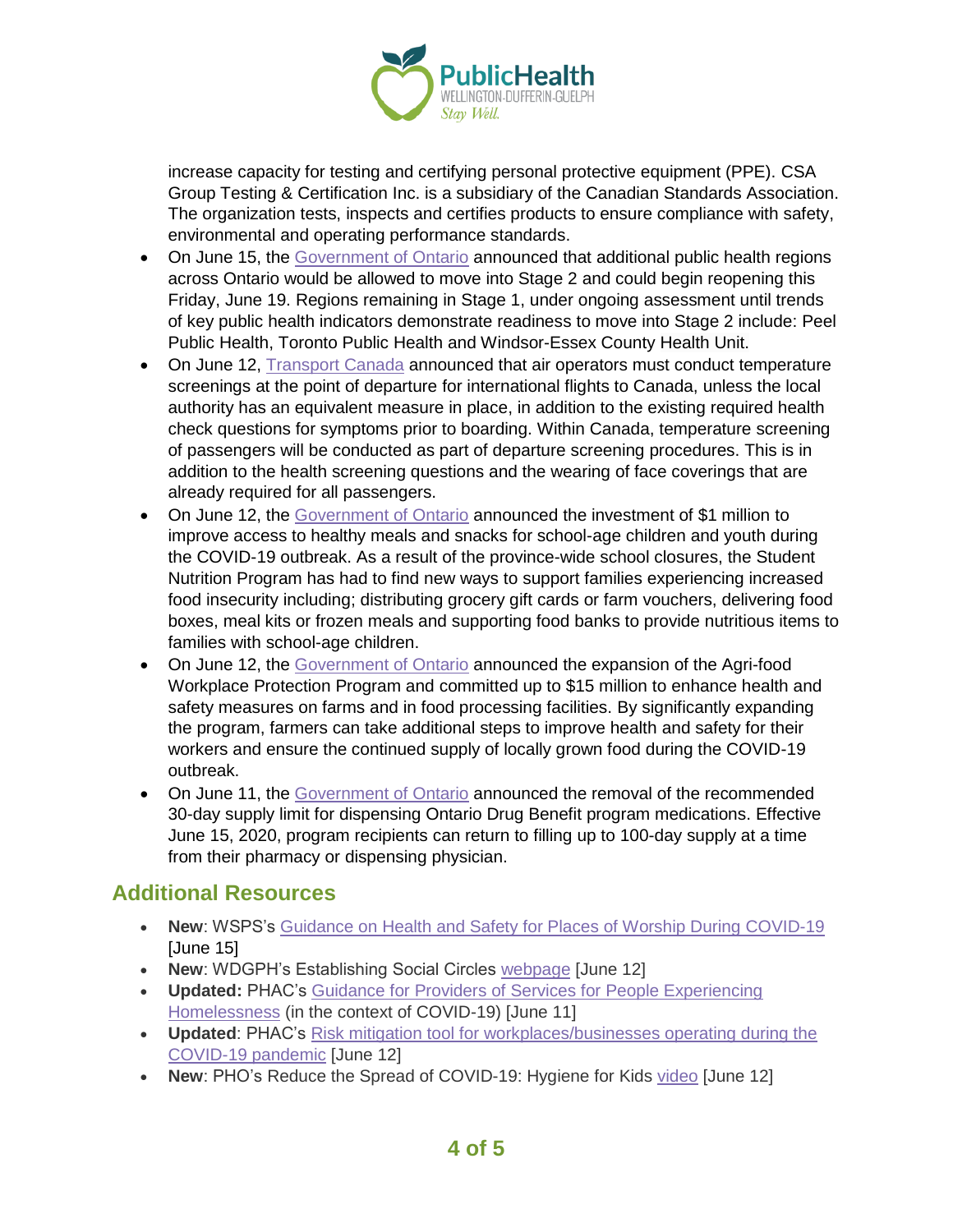

increase capacity for testing and certifying personal protective equipment (PPE). CSA Group Testing & Certification Inc. is a subsidiary of the Canadian Standards Association. The organization tests, inspects and certifies products to ensure compliance with safety, environmental and operating performance standards.

- On June 15, the [Government of Ontario](https://news.ontario.ca/opo/en/2020/06/more-people-can-get-back-to-work-as-additional-businesses-and-services-to-reopen-this-week.html) announced that additional public health regions across Ontario would be allowed to move into Stage 2 and could begin reopening this Friday, June 19. Regions remaining in Stage 1, under ongoing assessment until trends of key public health indicators demonstrate readiness to move into Stage 2 include: Peel Public Health, Toronto Public Health and Windsor-Essex County Health Unit.
- On June 12. [Transport](https://www.canada.ca/en/transport-canada/news/2020/06/temperature-screening-to-be-required-for-travellers-at-canadian-airports.html) Canada announced that air operators must conduct temperature screenings at the point of departure for international flights to Canada, unless the local authority has an equivalent measure in place, in addition to the existing required health check questions for symptoms prior to boarding. Within Canada, temperature screening of passengers will be conducted as part of departure screening procedures. This is in addition to the health screening questions and the wearing of face coverings that are already required for all passengers.
- On June 12, the [Government of Ontario](https://news.ontario.ca/mcys/en/2020/06/ontario-supports-children-and-youth-during-covid-19.html) announced the investment of \$1 million to improve access to healthy meals and snacks for school-age children and youth during the COVID-19 outbreak. As a result of the province-wide school closures, the Student Nutrition Program has had to find new ways to support families experiencing increased food insecurity including; distributing grocery gift cards or farm vouchers, delivering food boxes, meal kits or frozen meals and supporting food banks to provide nutritious items to families with school-age children.
- On June 12, the [Government of Ontario](https://news.ontario.ca/omafra/en/2020/06/ontario-protecting-agri-food-workers-during-covid-19.html) announced the expansion of the Agri-food Workplace Protection Program and committed up to \$15 million to enhance health and safety measures on farms and in food processing facilities. By significantly expanding the program, farmers can take additional steps to improve health and safety for their workers and ensure the continued supply of locally grown food during the COVID-19 outbreak.
- On June 11, the [Government of Ontario](https://news.ontario.ca/mohltc/en/2020/06/ontario-lifting-30-day-supply-limit-on-prescriptions.html) announced the removal of the recommended 30-day supply limit for dispensing Ontario Drug Benefit program medications. Effective June 15, 2020, program recipients can return to filling up to 100-day supply at a time from their pharmacy or dispensing physician.

### **Additional Resources**

- **New**: WSPS's [Guidance on Health and Safety for Places of Worship During](https://d1ow5xpphy0w2p.cloudfront.net/common/covid-19-worship-places-health-and-safety-guidance.pdf?mtime=20200610083500&focal=none) COVID-19 [June 15]
- **New**: WDGPH's Establishing Social Circles [webpage](https://www.wdgpublichealth.ca/your-health/covid-19-information-public/social-circles) [June 12]
- **Updated:** PHAC's [Guidance for Providers of Services for People Experiencing](https://www.canada.ca/en/public-health/services/diseases/2019-novel-coronavirus-infection/guidance-documents/homelessness.html)  [Homelessness](https://www.canada.ca/en/public-health/services/diseases/2019-novel-coronavirus-infection/guidance-documents/homelessness.html) (in the context of COVID-19) [June 11]
- **Updated**: PHAC's [Risk mitigation tool for workplaces/businesses operating during the](https://www.canada.ca/en/public-health/services/diseases/2019-novel-coronavirus-infection/guidance-documents/risk-informed-decision-making-workplaces-businesses-covid-19-pandemic.html)  [COVID-19 pandemic](https://www.canada.ca/en/public-health/services/diseases/2019-novel-coronavirus-infection/guidance-documents/risk-informed-decision-making-workplaces-businesses-covid-19-pandemic.html) [June 12]
- **New**: PHO's Reduce the Spread of COVID-19: Hygiene for Kids [video](https://www.canada.ca/en/public-health/services/video/covid-19-kids-hygiene.html) [June 12]